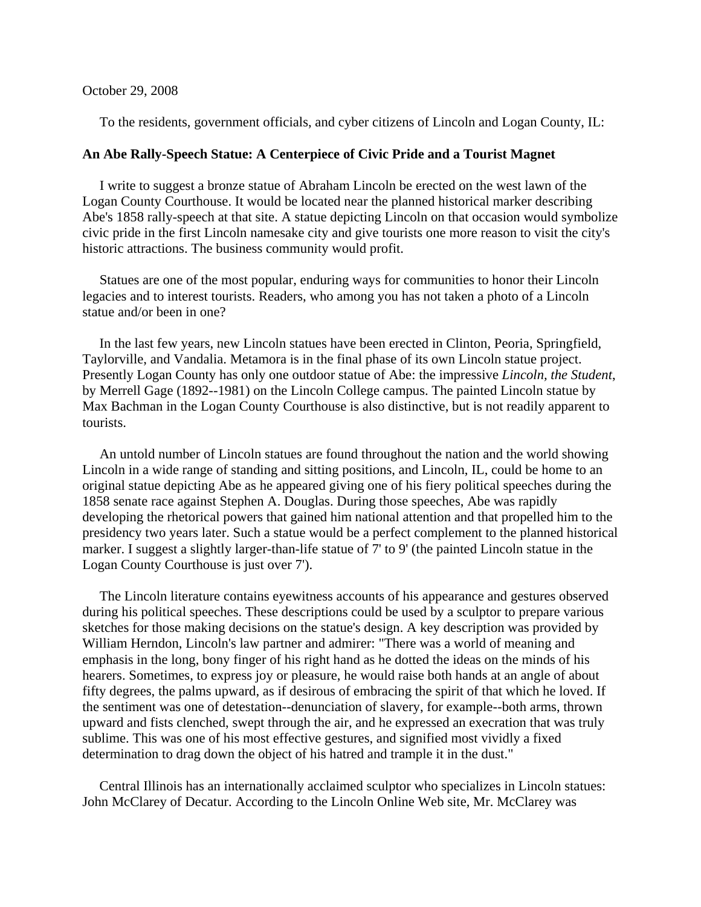## October 29, 2008

To the residents, government officials, and cyber citizens of Lincoln and Logan County, IL:

## **An Abe Rally-Speech Statue: A Centerpiece of Civic Pride and a Tourist Magnet**

I write to suggest a bronze statue of Abraham Lincoln be erected on the west lawn of the Logan County Courthouse. It would be located near the planned historical marker describing Abe's 1858 rally-speech at that site. A statue depicting Lincoln on that occasion would symbolize civic pride in the first Lincoln namesake city and give tourists one more reason to visit the city's historic attractions. The business community would profit.

 Statues are one of the most popular, enduring ways for communities to honor their Lincoln legacies and to interest tourists. Readers, who among you has not taken a photo of a Lincoln statue and/or been in one?

 In the last few years, new Lincoln statues have been erected in Clinton, Peoria, Springfield, Taylorville, and Vandalia. Metamora is in the final phase of its own Lincoln statue project. Presently Logan County has only one outdoor statue of Abe: the impressive *Lincoln, the Student*, by Merrell Gage (1892--1981) on the Lincoln College campus. The painted Lincoln statue by Max Bachman in the Logan County Courthouse is also distinctive, but is not readily apparent to tourists.

 An untold number of Lincoln statues are found throughout the nation and the world showing Lincoln in a wide range of standing and sitting positions, and Lincoln, IL, could be home to an original statue depicting Abe as he appeared giving one of his fiery political speeches during the 1858 senate race against Stephen A. Douglas. During those speeches, Abe was rapidly developing the rhetorical powers that gained him national attention and that propelled him to the presidency two years later. Such a statue would be a perfect complement to the planned historical marker. I suggest a slightly larger-than-life statue of 7' to 9' (the painted Lincoln statue in the Logan County Courthouse is just over 7').

 The Lincoln literature contains eyewitness accounts of his appearance and gestures observed during his political speeches. These descriptions could be used by a sculptor to prepare various sketches for those making decisions on the statue's design. A key description was provided by William Herndon, Lincoln's law partner and admirer: "There was a world of meaning and emphasis in the long, bony finger of his right hand as he dotted the ideas on the minds of his hearers. Sometimes, to express joy or pleasure, he would raise both hands at an angle of about fifty degrees, the palms upward, as if desirous of embracing the spirit of that which he loved. If the sentiment was one of detestation--denunciation of slavery, for example--both arms, thrown upward and fists clenched, swept through the air, and he expressed an execration that was truly sublime. This was one of his most effective gestures, and signified most vividly a fixed determination to drag down the object of his hatred and trample it in the dust."

 Central Illinois has an internationally acclaimed sculptor who specializes in Lincoln statues: John McClarey of Decatur. According to the Lincoln Online Web site, Mr. McClarey was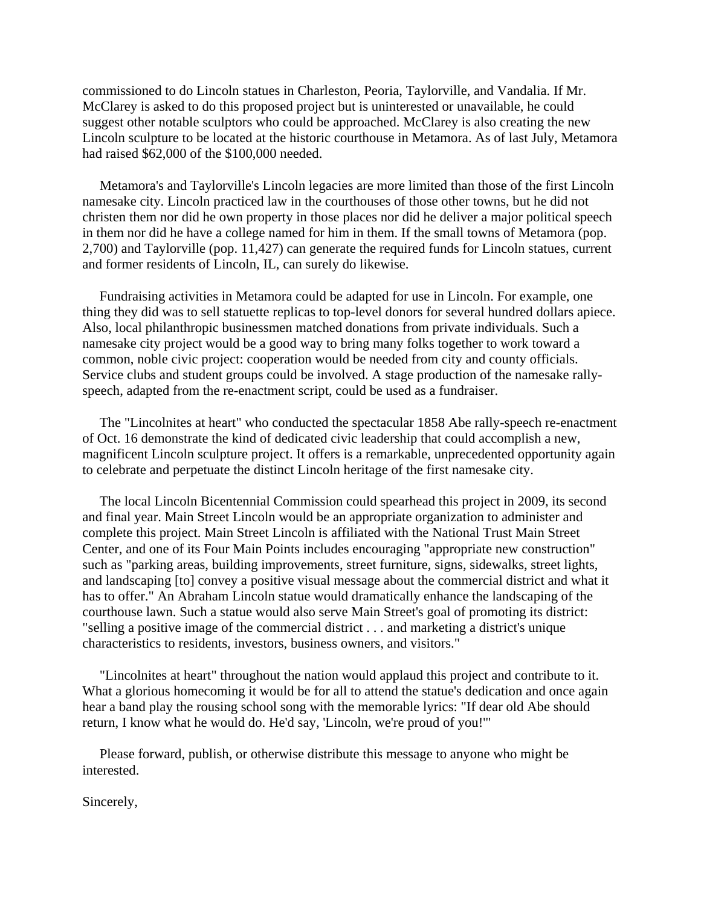commissioned to do Lincoln statues in Charleston, Peoria, Taylorville, and Vandalia. If Mr. McClarey is asked to do this proposed project but is uninterested or unavailable, he could suggest other notable sculptors who could be approached. McClarey is also creating the new Lincoln sculpture to be located at the historic courthouse in Metamora. As of last July, Metamora had raised \$62,000 of the \$100,000 needed.

 Metamora's and Taylorville's Lincoln legacies are more limited than those of the first Lincoln namesake city. Lincoln practiced law in the courthouses of those other towns, but he did not christen them nor did he own property in those places nor did he deliver a major political speech in them nor did he have a college named for him in them. If the small towns of Metamora (pop. 2,700) and Taylorville (pop. 11,427) can generate the required funds for Lincoln statues, current and former residents of Lincoln, IL, can surely do likewise.

 Fundraising activities in Metamora could be adapted for use in Lincoln. For example, one thing they did was to sell statuette replicas to top-level donors for several hundred dollars apiece. Also, local philanthropic businessmen matched donations from private individuals. Such a namesake city project would be a good way to bring many folks together to work toward a common, noble civic project: cooperation would be needed from city and county officials. Service clubs and student groups could be involved. A stage production of the namesake rallyspeech, adapted from the re-enactment script, could be used as a fundraiser.

 The "Lincolnites at heart" who conducted the spectacular 1858 Abe rally-speech re-enactment of Oct. 16 demonstrate the kind of dedicated civic leadership that could accomplish a new, magnificent Lincoln sculpture project. It offers is a remarkable, unprecedented opportunity again to celebrate and perpetuate the distinct Lincoln heritage of the first namesake city.

 The local Lincoln Bicentennial Commission could spearhead this project in 2009, its second and final year. Main Street Lincoln would be an appropriate organization to administer and complete this project. Main Street Lincoln is affiliated with the National Trust Main Street Center, and one of its Four Main Points includes encouraging "appropriate new construction" such as "parking areas, building improvements, street furniture, signs, sidewalks, street lights, and landscaping [to] convey a positive visual message about the commercial district and what it has to offer." An Abraham Lincoln statue would dramatically enhance the landscaping of the courthouse lawn. Such a statue would also serve Main Street's goal of promoting its district: "selling a positive image of the commercial district . . . and marketing a district's unique characteristics to residents, investors, business owners, and visitors."

 "Lincolnites at heart" throughout the nation would applaud this project and contribute to it. What a glorious homecoming it would be for all to attend the statue's dedication and once again hear a band play the rousing school song with the memorable lyrics: "If dear old Abe should return, I know what he would do. He'd say, 'Lincoln, we're proud of you!'"

 Please forward, publish, or otherwise distribute this message to anyone who might be interested.

Sincerely,